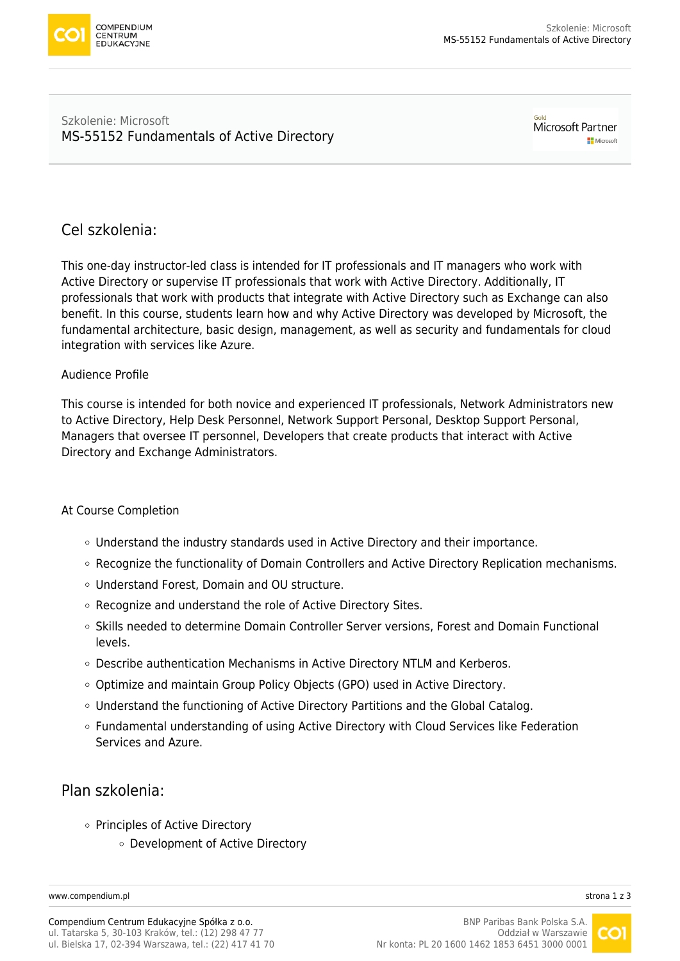

#### Szkolenie: Microsoft [MS-55152 Fundamentals of Active Directory](https://www.compendium.pl/szkolenie/4734/szkolenie-autoryzowane-microsoft-ms55152-fundamentals-of-active-directory)

Microsoft Partner Microsoft

## Cel szkolenia:

This one-day instructor-led class is intended for IT professionals and IT managers who work with Active Directory or supervise IT professionals that work with Active Directory. Additionally, IT professionals that work with products that integrate with Active Directory such as Exchange can also benefit. In this course, students learn how and why Active Directory was developed by Microsoft, the fundamental architecture, basic design, management, as well as security and fundamentals for cloud integration with services like Azure.

### Audience Profile

This course is intended for both novice and experienced IT professionals, Network Administrators new to Active Directory, Help Desk Personnel, Network Support Personal, Desktop Support Personal, Managers that oversee IT personnel, Developers that create products that interact with Active Directory and Exchange Administrators.

### At Course Completion

- Understand the industry standards used in Active Directory and their importance.
- Recognize the functionality of Domain Controllers and Active Directory Replication mechanisms.
- Understand Forest, Domain and OU structure.
- Recognize and understand the role of Active Directory Sites.
- Skills needed to determine Domain Controller Server versions, Forest and Domain Functional levels.
- Describe authentication Mechanisms in Active Directory NTLM and Kerberos.
- Optimize and maintain Group Policy Objects (GPO) used in Active Directory.
- Understand the functioning of Active Directory Partitions and the Global Catalog.
- Fundamental understanding of using Active Directory with Cloud Services like Federation Services and Azure.

## Plan szkolenia:

- o Principles of Active Directory
	- Development of Active Directory

[www.compendium.pl](https://www.compendium.pl/) strona 1 z 3

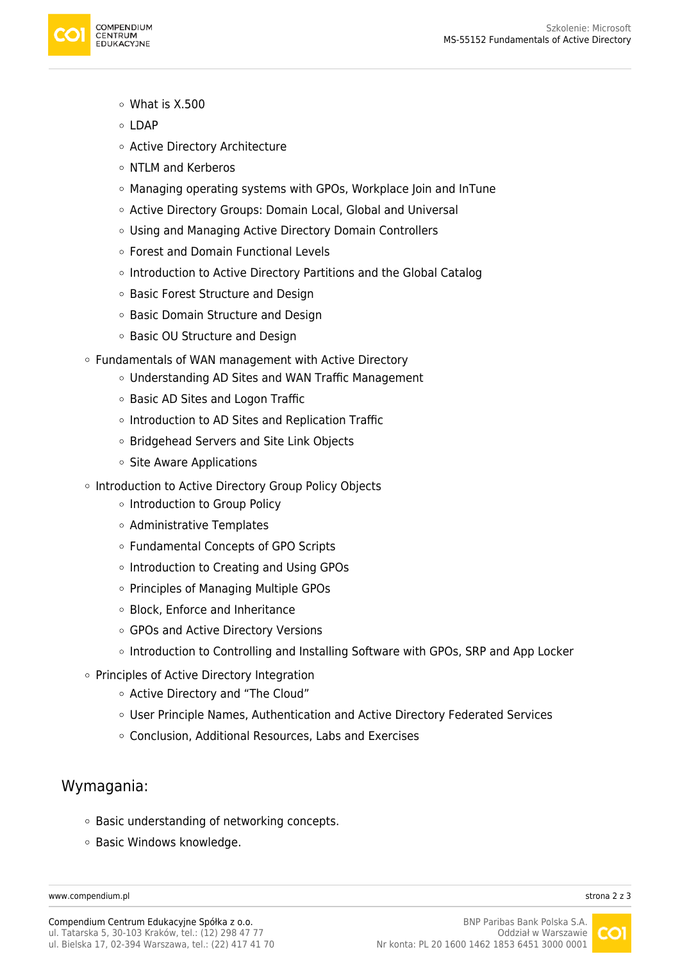

- What is X.500
- $\circ$  LDAP
- Active Directory Architecture
- o NTLM and Kerberos
- Managing operating systems with GPOs, Workplace Join and InTune
- Active Directory Groups: Domain Local, Global and Universal
- Using and Managing Active Directory Domain Controllers
- Forest and Domain Functional Levels
- $\circ$  Introduction to Active Directory Partitions and the Global Catalog
- Basic Forest Structure and Design
- Basic Domain Structure and Design
- Basic OU Structure and Design
- Fundamentals of WAN management with Active Directory
	- Understanding AD Sites and WAN Traffic Management
	- Basic AD Sites and Logon Traffic
	- $\circ$  Introduction to AD Sites and Replication Traffic
	- Bridgehead Servers and Site Link Objects
	- Site Aware Applications
- o Introduction to Active Directory Group Policy Objects
	- o Introduction to Group Policy
	- Administrative Templates
	- Fundamental Concepts of GPO Scripts
	- o Introduction to Creating and Using GPOs
	- $\circ$  Principles of Managing Multiple GPOs
	- Block, Enforce and Inheritance
	- GPOs and Active Directory Versions
	- o Introduction to Controlling and Installing Software with GPOs, SRP and App Locker
- o Principles of Active Directory Integration
	- Active Directory and "The Cloud"
	- User Principle Names, Authentication and Active Directory Federated Services
	- Conclusion, Additional Resources, Labs and Exercises

## Wymagania:

- o Basic understanding of networking concepts.
- o Basic Windows knowledge.

[www.compendium.pl](https://www.compendium.pl/) strona 2 z 3